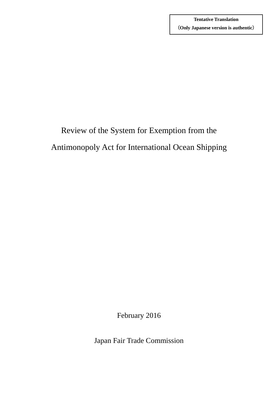# Review of the System for Exemption from the Antimonopoly Act for International Ocean Shipping

February 2016

Japan Fair Trade Commission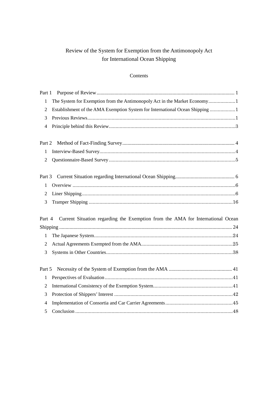# Review of the System for Exemption from the Antimonopoly Act for International Ocean Shipping

# Contents

| Part 1                   |                                                                                |  |
|--------------------------|--------------------------------------------------------------------------------|--|
| $\mathbf{1}$             | The System for Exemption from the Antimonopoly Act in the Market Economy1      |  |
| $\mathbf{2}$             | Establishment of the AMA Exemption System for International Ocean Shipping 1   |  |
| 3                        |                                                                                |  |
| $\overline{\mathcal{A}}$ |                                                                                |  |
|                          |                                                                                |  |
| Part 2                   |                                                                                |  |
| $\mathbf{1}$             |                                                                                |  |
| $\mathfrak{2}$           |                                                                                |  |
|                          |                                                                                |  |
| Part 3                   |                                                                                |  |
| $\mathbf{1}$             |                                                                                |  |
| $\overline{2}$           |                                                                                |  |
|                          |                                                                                |  |
| 3                        |                                                                                |  |
|                          |                                                                                |  |
| Part 4                   | Current Situation regarding the Exemption from the AMA for International Ocean |  |
|                          |                                                                                |  |
| $\mathbf{1}$             |                                                                                |  |
| $\overline{2}$           |                                                                                |  |
| 3                        |                                                                                |  |
|                          |                                                                                |  |
| Part 5                   |                                                                                |  |
| 1                        |                                                                                |  |
| $\overline{2}$           |                                                                                |  |
| 3                        |                                                                                |  |
| 4                        |                                                                                |  |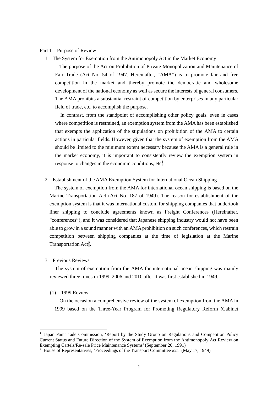#### <span id="page-2-1"></span><span id="page-2-0"></span>Part 1 Purpose of Review

1 The System for Exemption from the Antimonopoly Act in the Market Economy

 The purpose of the Act on Prohibition of Private Monopolization and Maintenance of Fair Trade (Act No. 54 of 1947. Hereinafter, "AMA") is to promote fair and free competition in the market and thereby promote the democratic and wholesome development of the national economy as well as secure the interests of general consumers. The AMA prohibits a substantial restraint of competition by enterprises in any particular field of trade, etc. to accomplish the purpose.

 In contrast, from the standpoint of accomplishing other policy goals, even in cases where competition is restrained, an exemption system from the AMA has been established that exempts the application of the stipulations on prohibition of the AMA to certain actions in particular fields. However, given that the system of exemption from the AMA should be limited to the minimum extent necessary because the AMA is a general rule in the market economy, it is important to consistently review the exemption system in response to changes in the economic conditions,  $etc<sup>1</sup>$ .

<span id="page-2-2"></span>2 Establishment of the AMA Exemption System for International Ocean Shipping

The system of exemption from the AMA for international ocean shipping is based on the Marine Transportation Act (Act No. 187 of 1949). The reason for establishment of the exemption system is that it was international custom for shipping companies that undertook liner shipping to conclude agreements known as Freight Conferences (Hereinafter, "conferences"), and it was considered that Japanese shipping industry would not have been able to grow in a sound manner with an AMA prohibition on such conferences, which restrain competition between shipping companies at the time of legislation at the Marine Transportation Act<sup>[2](#page-2-5)</sup>.

<span id="page-2-3"></span>3 Previous Reviews

The system of exemption from the AMA for international ocean shipping was mainly reviewed three times in 1999, 2006 and 2010 after it was first established in 1949.

(1) 1999 Review

1

On the occasion a comprehensive review of the system of exemption from the AMA in 1999 based on the Three-Year Program for Promoting Regulatory Reform (Cabinet

<span id="page-2-4"></span><sup>&</sup>lt;sup>1</sup> Japan Fair Trade Commission, 'Report by the Study Group on Regulations and Competition Policy Current Status and Future Direction of the System of Exemption from the Antimonopoly Act Review on Exempting Cartels/Re-sale Price Maintenance Systems' (September 20, 1991)

<span id="page-2-5"></span><sup>&</sup>lt;sup>2</sup> House of Representatives, 'Proceedings of the Transport Committee #21' (May 17, 1949)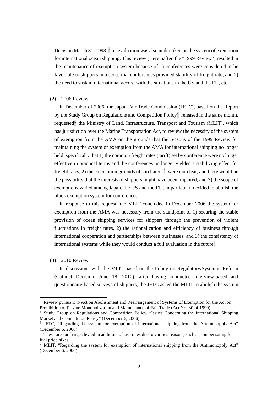Decision March [3](#page-3-0)1, 1998)<sup>3</sup>, an evaluation was also undertaken on the system of exemption for international ocean shipping. This review (Hereinafter, the "1999 Review") resulted in the maintenance of exemption system because of 1) conferences were considered to be favorable to shippers in a sense that conferences provided stability of freight rate, and 2) the need to sustain international accord with the situations in the US and the EU, etc.

#### (2) 2006 Review

In December of 2006, the Japan Fair Trade Commission (JFTC), based on the Report by the Study Group on Regulations and Competition Policy<sup>[4](#page-3-1)</sup> released in the same month, requested $\overline{5}$  $\overline{5}$  $\overline{5}$  the Ministry of Land, Infrastructure, Transport and Tourism (MLIT), which has jurisdiction over the Marine Transportation Act, to review the necessity of the system of exemption from the AMA on the grounds that the reasons of the 1999 Review for maintaining the system of exemption from the AMA for international shipping no longer held: specifically that 1) the common freight rates (tariff) set by conference were no longer effective in practical terms and the conferences no longer yielded a stabilizing effect for freight rates, 2) the calculation grounds of surcharges<sup>[6](#page-3-3)</sup> were not clear, and there would be the possibility that the interests of shippers might have been impaired, and 3) the scope of exemptions varied among Japan, the US and the EU, in particular, decided to abolish the block exemption system for conferences.

In response to this request, the MLIT concluded in December 2006 the system for exemption from the AMA was necessary from the standpoint of 1) securing the stable provision of ocean shipping services for shippers through the prevention of violent fluctuations in freight rates, 2) the rationalization and efficiency of business through international cooperation and partnerships between businesses, and 3) the consistency of international systems while they would conduct a full evaluation in the future<sup>[7](#page-3-4)</sup>.

#### (3) 2010 Review

1

In discussions with the MLIT based on the Policy on Regulatory/Systemic Reform (Cabinet Decision, June 18, 2010), after having conducted interview-based and questionnaire-based surveys of shippers, the JFTC asked the MLIT to abolish the system

<span id="page-3-0"></span><sup>&</sup>lt;sup>3</sup> Review pursuant to Act on Abolishment and Rearrangement of Systems of Exemption for the Act on Prohibition of Private Monopolization and Maintenance of Fair Trade (Act No. 80 of 1999)

<span id="page-3-1"></span><sup>4</sup> Study Group on Regulations and Competition Policy, "Issues Concerning the International Shipping Market and Competition Policy" (December 6, 2006)

<span id="page-3-2"></span><sup>&</sup>lt;sup>5</sup> JFTC, "Regarding the system for exemption of international shipping from the Antimonopoly Act" (December 6, 2006)

<span id="page-3-3"></span> $6\degree$  These are surcharges levied in addition to base rates due to various reasons, such as compensating for fuel price hikes.

<span id="page-3-4"></span><sup>&</sup>lt;sup>7</sup> MLIT, "Regarding the system for exemption of international shipping from the Antimonopoly Act" (December 6, 2006)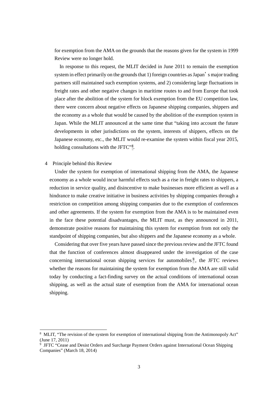for exemption from the AMA on the grounds that the reasons given for the system in 1999 Review were no longer hold.

In response to this request, the MLIT decided in June 2011 to remain the exemption system in effect primarily on the grounds that 1) foreign countries as Japan's major trading partners still maintained such exemption systems, and 2) considering large fluctuations in freight rates and other negative changes in maritime routes to and from Europe that took place after the abolition of the system for block exemption from the EU competition law, there were concern about negative effects on Japanese shipping companies, shippers and the economy as a whole that would be caused by the abolition of the exemption system in Japan. While the MLIT announced at the same time that "taking into account the future developments in other jurisdictions on the system, interests of shippers, effects on the Japanese economy, etc., the MLIT would re-examine the system within fiscal year 2015, holding consultations with the JFTC"<sup>[8](#page-4-1)</sup>.

#### <span id="page-4-0"></span>4 Principle behind this Review

1

Under the system for exemption of international shipping from the AMA, the Japanese economy as a whole would incur harmful effects such as a rise in freight rates to shippers, a reduction in service quality, and disincentive to make businesses more efficient as well as a hindrance to make creative initiative in business activities by shipping companies through a restriction on competition among shipping companies due to the exemption of conferences and other agreements. If the system for exemption from the AMA is to be maintained even in the face these potential disadvantages, the MLIT must, as they announced in 2011, demonstrate positive reasons for maintaining this system for exemption from not only the standpoint of shipping companies, but also shippers and the Japanese economy as a whole.

Considering that over five years have passed since the previous review and the JFTC found that the function of conferences almost disappeared under the investigation of the case concerning international ocean shipping services for automobiles<sup>[9](#page-4-2)</sup>, the JFTC reviews whether the reasons for maintaining the system for exemption from the AMA are still valid today by conducting a fact-finding survey on the actual conditions of international ocean shipping, as well as the actual state of exemption from the AMA for international ocean shipping.

<span id="page-4-1"></span><sup>&</sup>lt;sup>8</sup> MLIT, "The revision of the system for exemption of international shipping from the Antimonopoly Act" (June 17, 2011)

<span id="page-4-2"></span> $9\text{ JFTC}$  "Cease and Desist Orders and Surcharge Payment Orders against International Ocean Shipping Companies" (March 18, 2014)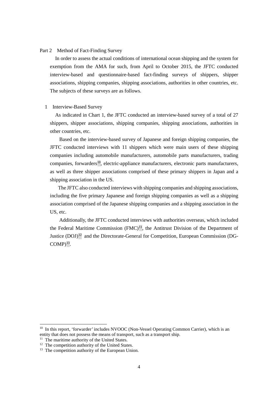# <span id="page-5-0"></span>Part 2 Method of Fact-Finding Survey

 In order to assess the actual conditions of international ocean shipping and the system for exemption from the AMA for such, from April to October 2015, the JFTC conducted interview-based and questionnaire-based fact-finding surveys of shippers, shipper associations, shipping companies, shipping associations, authorities in other countries, etc. The subjects of these surveys are as follows.

#### <span id="page-5-1"></span>1 Interview-Based Survey

 As indicated in Chart 1, the JFTC conducted an interview-based survey of a total of 27 shippers, shipper associations, shipping companies, shipping associations, authorities in other countries, etc.

Based on the interview-based survey of Japanese and foreign shipping companies, the JFTC conducted interviews with 11 shippers which were main users of these shipping companies including automobile manufacturers, automobile parts manufacturers, trading  $companies,$  forwarders<sup>10</sup>, electric-appliance manufacturers, electronic parts manufacturers, as well as three shipper associations comprised of these primary shippers in Japan and a shipping association in the US.

The JFTC also conducted interviews with shipping companies and shipping associations, including the five primary Japanese and foreign shipping companies as well as a shipping association comprised of the Japanese shipping companies and a shipping association in the US, etc.

Additionally, the JFTC conducted interviews with authorities overseas, which included the Federal Maritime Commission  $(FMC)^{11}$ , the Antitrust Division of the Department of Justice (DOJ)<sup>[12](#page-5-4)</sup> and the Directorate-General for Competition, European Commission (DG- $COMP)^{13}$  $COMP)^{13}$  $COMP)^{13}$ .

<span id="page-5-2"></span><sup>&</sup>lt;sup>10</sup> In this report, 'forwarder' includes NVOOC (Non-Vessel Operating Common Carrier), which is an entity that does not possess the means of transport, such as a transport ship.<br><sup>11</sup> The maritime authority of the United States.

<span id="page-5-3"></span>

<span id="page-5-4"></span> $12$  The competition authority of the United States.

<span id="page-5-5"></span><sup>&</sup>lt;sup>13</sup> The competition authority of the European Union.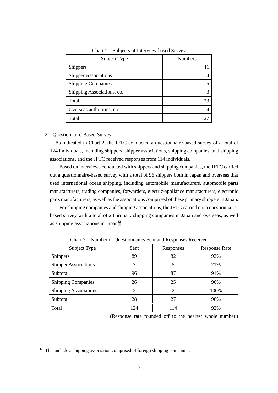| Subject Type                | <b>Numbers</b> |
|-----------------------------|----------------|
| <b>Shippers</b>             |                |
| <b>Shipper Associations</b> |                |
| <b>Shipping Companies</b>   |                |
| Shipping Associations, etc. |                |
| Total                       | 23             |
| Overseas authorities, etc.  |                |
| Total                       |                |

Chart 1 Subjects of Interview-based Survey

#### <span id="page-6-0"></span>2 Questionnaire-Based Survey

 As indicated in Chart 2, the JFTC conducted a questionnaire-based survey of a total of 124 individuals, including shippers, shipper associations, shipping companies, and shipping associations, and the JFTC received responses from 114 individuals.

Based on interviews conducted with shippers and shipping companies, the JFTC carried out a questionnaire-based survey with a total of 96 shippers both in Japan and overseas that used international ocean shipping, including automobile manufacturers, automobile parts manufacturers, trading companies, forwarders, electric-appliance manufacturers, electronic parts manufacturers, as well as the associations comprised of these primary shippers in Japan.

For shipping companies and shipping associations, the JFTC carried out a questionnairebased survey with a total of 28 primary shipping companies in Japan and overseas, as well as shipping associations in Japan $14$ .

| Subject Type                 | Sent | Responses                   | <b>Response Rate</b> |
|------------------------------|------|-----------------------------|----------------------|
| <b>Shippers</b>              | 89   | 82                          | 92%                  |
| <b>Shipper Associations</b>  |      |                             | 71%                  |
| Subtotal                     | 96   | 87                          | 91%                  |
| <b>Shipping Companies</b>    | 26   | 25                          | 96%                  |
| <b>Shipping Associations</b> | 2    | $\mathcal{D}_{\mathcal{A}}$ | 100%                 |
| Subtotal                     | 28   | 27                          | 96%                  |
| Total                        | 124  | 114                         | 92%                  |

Chart 2 Number of Questionnaires Sent and Responses Received

(Response rate rounded off to the nearest whole number.)

<span id="page-6-1"></span><sup>&</sup>lt;sup>14</sup> This include a shipping association comprised of foreign shipping companies.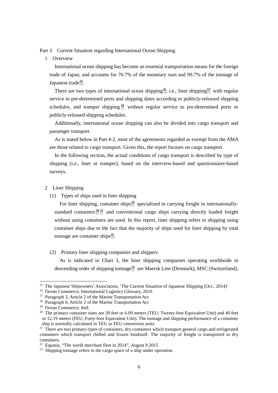# <span id="page-7-0"></span>Part 3 Current Situation regarding International Ocean Shipping

# <span id="page-7-1"></span>1 Overview

International ocean shipping has become an essential transportation means for the foreign trade of Japan, and accounts for 76.7% of the monetary sum and 99.7% of the tonnage of Japanese trade<sup>15</sup>.

There are two types of international ocean shipping<sup>16</sup>, i.e., liner shipping<sup>[17](#page-7-5)</sup> with regular service to pre-determined ports and shipping dates according to publicly-released shipping schedules, and tramper shipping<sup>[18](#page-7-6)</sup> without regular service to pre-determined ports or publicly-released shipping schedules.

Additionally, international ocean shipping can also be divided into cargo transport and passenger transport.

As is stated below in Part 4-2, most of the agreements regarded as exempt from the AMA are those related to cargo transport. Given this, the report focuses on cargo transport.

In the following section, the actual conditions of cargo transport is described by type of shipping (i.e., liner or tramper), based on the interview-based and questionnaire-based surveys.

# <span id="page-7-2"></span>2 Liner Shipping

(1) Types of ships used in liner shipping

For liner shipping, container ships<sup>[19](#page-7-7)</sup> specialized in carrying freight in internationally-standard containers<sup>[20](#page-7-8)</sup><sup>[21](#page-7-9)</sup> and conventional cargo ships carrying directly loaded freight without using containers are used. In this report, liner shipping refers to shipping using container ships due to the fact that the majority of ships used for liner shipping by total tonnage are container ships $^{22}$  $^{22}$  $^{22}$ .

# (2) Primary liner shipping companies and shippers

As is indicated in Chart 3, the liner shipping companies operating worldwide in descending order of shipping tonnage<sup>[23](#page-7-11)</sup> are Maersk Line (Denmark), MSC (Switzerland),

<span id="page-7-3"></span><sup>&</sup>lt;sup>15</sup> The Japanese Shipowners' Association, 'The Current Situation of Japanese Shipping (Oct., 2014)'

<span id="page-7-4"></span><sup>16</sup> Ocean Commerce, International Logistics Glossary, 2010

<span id="page-7-5"></span><sup>17</sup> Paragraph 3, Article 2 of the Marine Transportation Act

<span id="page-7-6"></span><sup>18</sup> Paragraph 6, Article 2 of the Marine Transportation Act

<sup>&</sup>lt;sup>19</sup> Ocean Commerce, ibid.

<span id="page-7-8"></span><span id="page-7-7"></span><sup>&</sup>lt;sup>20</sup> The primary container sizes are 20 feet or  $6.09$  meters (TEU; Twenty-foot Equivalent Unit) and 40 feet or 12.19 meters (FEU; Forty-foot Equivalent Unit). The tonnage and shipping performance of a container ship is normally calculated in TEU or FEU conversion units.

<span id="page-7-9"></span><sup>&</sup>lt;sup>21</sup> There are two primary types of containers, dry containers which transport general cargo and refrigerated containers which transport chilled and frozen foodstuff. The majority of freight is transported in dry containers.

<span id="page-7-10"></span><sup>&</sup>lt;sup>22</sup> Equasis, "The world merchant fleet in 2014", August 9 2015

<span id="page-7-11"></span> $23$  Shipping tonnage refers to the cargo space of a ship under operation.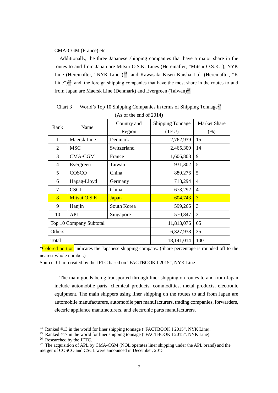#### CMA-CGM (France) etc.

Additionally, the three Japanese shipping companies that have a major share in the routes to and from Japan are Mitsui O.S.K. Lines (Hereinafter, "Mitsui O.S.K."), NYK Line (Hereinafter, "NYK Line")<sup>[24](#page-8-0)</sup>, and Kawasaki Kisen Kaisha Ltd. (Hereinafter, "K Line")<sup>25</sup>; and, the foreign shipping companies that have the most share in the routes to and from Japan are Maersk Line (Denmark) and Evergreen (Taiwan)<sup>26</sup>.

| Rank      | Name                    | Country and  | <b>Shipping Tonnage</b> | <b>Market Share</b> |  |  |
|-----------|-------------------------|--------------|-------------------------|---------------------|--|--|
|           |                         | Region       | (TEU)                   | (% )                |  |  |
| 1         | Maersk Line             | Denmark      | 2,762,939               | 15                  |  |  |
| 2         | <b>MSC</b>              | Switzerland  | 2,465,309               | 14                  |  |  |
| 3         | <b>CMA-CGM</b>          | France       | 1,606,808               | 9                   |  |  |
| 4         | Evergreen               | Taiwan       | 931,302                 | 5                   |  |  |
| 5         | COSCO                   | China        | 880,276                 | 5                   |  |  |
| 6         | Hapag-Lloyd             | Germany      | 718,294                 | 4                   |  |  |
| $\tau$    | <b>CSCL</b>             | China        | 673,292                 |                     |  |  |
| 8         | Mitsui O.S.K.           | <b>Japan</b> | 604,743                 | 3                   |  |  |
| 9         | Hanjin                  | South Korea  | 599,266                 | 3                   |  |  |
| 10<br>APL |                         | Singapore    | 570,847                 | 3                   |  |  |
|           | Top 10 Company Subtotal |              | 11,813,076              | 65                  |  |  |
| Others    |                         |              | 6,327,938               | 35                  |  |  |
| Total     |                         |              | 18,141,014              | 100                 |  |  |

Chart 3 World's Top 10 Shipping Companies in terms of Shipping Tonnage<sup>[27](#page-8-3)</sup> (As of the end of 2014)

**\*Colored portion** indicates the Japanese shipping company. (Share percentage is rounded off to the nearest whole number.)

Source: Chart created by the JFTC based on "FACTBOOK I 2015", NYK Line

The main goods being transported through liner shipping on routes to and from Japan include automobile parts, chemical products, commodities, metal products, electronic equipment. The main shippers using liner shipping on the routes to and from Japan are automobile manufacturers, automobile part manufacturers, trading companies, forwarders, electric appliance manufacturers, and electronic parts manufacturers.

<span id="page-8-0"></span><sup>&</sup>lt;sup>24</sup> Ranked #13 in the world for liner shipping tonnage ("FACTBOOK I 2015", NYK Line).

<span id="page-8-1"></span><sup>&</sup>lt;sup>25</sup> Ranked #17 in the world for liner shipping tonnage ("FACTBOOK I 2015", NYK Line).

<span id="page-8-2"></span><sup>26</sup> Researched by the JFTC.

<span id="page-8-3"></span><sup>&</sup>lt;sup>27</sup> The acquisition of APL by CMA-CGM (NOL operates liner shipping under the APL brand) and the merger of COSCO and CSCL were announced in December, 2015.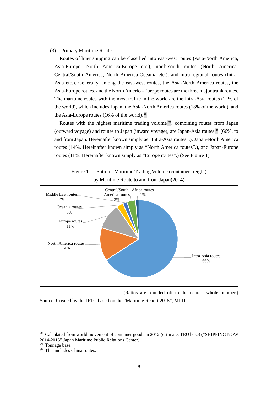#### (3) Primary Maritime Routes

Routes of liner shipping can be classified into east-west routes (Asia-North America, Asia-Europe, North America-Europe etc.), north-south routes (North America-Central/South America, North America-Oceania etc.), and intra-regional routes (Intra-Asia etc.). Generally, among the east-west routes, the Asia-North America routes, the Asia-Europe routes, and the North America-Europe routes are the three major trunk routes. The maritime routes with the most traffic in the world are the Intra-Asia routes (21% of the world), which includes Japan, the Asia-North America routes (18% of the world), and the Asia-Europe routes (16% of the world). $^{28}$ 

Routes with the highest maritime trading volume  $29$ , combining routes from Japan (outward voyage) and routes to Japan (inward voyage), are Japan-Asia routes<sup>[30](#page-9-2)</sup> (66%, to and from Japan. Hereinafter known simply as "Intra-Asia routes".), Japan-North America routes (14%. Hereinafter known simply as "North America routes".), and Japan-Europe routes (11%. Hereinafter known simply as "Europe routes".) (See Figure 1).



Figure 1 Ratio of Maritime Trading Volume (container freight) by Maritime Route to and from Japan(2014)

(Ratios are rounded off to the nearest whole number.) Source: Created by the JFTC based on the "Maritime Report 2015", MLIT.

<span id="page-9-0"></span><sup>&</sup>lt;sup>28</sup> Calculated from world movement of container goods in 2012 (estimate, TEU base) ("SHIPPING NOW 2014-2015" Japan Maritime Public Relations Center).

<span id="page-9-1"></span><sup>&</sup>lt;sup>29</sup> Tonnage base.

<span id="page-9-2"></span><sup>30</sup> This includes China routes.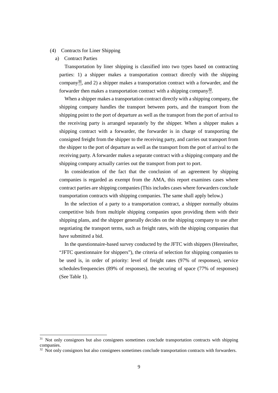# (4) Contracts for Liner Shipping

#### a) Contract Parties

1

Transportation by liner shipping is classified into two types based on contracting parties: 1) a shipper makes a transportation contract directly with the shipping company[31,](#page-10-0) and 2) a shipper makes a transportation contract with a forwarder, and the forwarder then makes a transportation contract with a shipping company<sup>32</sup>.

When a shipper makes a transportation contract directly with a shipping company, the shipping company handles the transport between ports, and the transport from the shipping point to the port of departure as well as the transport from the port of arrival to the receiving party is arranged separately by the shipper. When a shipper makes a shipping contract with a forwarder, the forwarder is in charge of transporting the consigned freight from the shipper to the receiving party, and carries out transport from the shipper to the port of departure as well as the transport from the port of arrival to the receiving party. A forwarder makes a separate contract with a shipping company and the shipping company actually carries out the transport from port to port.

In consideration of the fact that the conclusion of an agreement by shipping companies is regarded as exempt from the AMA, this report examines cases where contract parties are shipping companies (This includes cases where forwarders conclude transportation contracts with shipping companies. The same shall apply below.)

In the selection of a party to a transportation contract, a shipper normally obtains competitive bids from multiple shipping companies upon providing them with their shipping plans, and the shipper generally decides on the shipping company to use after negotiating the transport terms, such as freight rates, with the shipping companies that have submitted a bid.

In the questionnaire-based survey conducted by the JFTC with shippers (Hereinafter, "JFTC questionnaire for shippers"), the criteria of selection for shipping companies to be used is, in order of priority: level of freight rates (97% of responses), service schedules/frequencies (89% of responses), the securing of space (77% of responses) (See Table 1).

<span id="page-10-0"></span><sup>&</sup>lt;sup>31</sup> Not only consignors but also consignees sometimes conclude transportation contracts with shipping companies.

<span id="page-10-1"></span> $32$  Not only consignors but also consignees sometimes conclude transportation contracts with forwarders.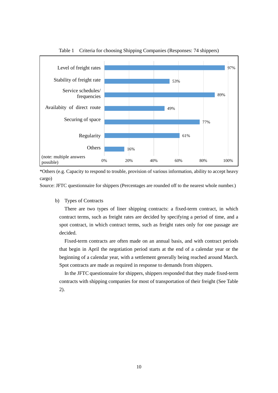

Table 1 Criteria for choosing Shipping Companies (Responses: 74 shippers)

\*Others (e.g. Capacity to respond to trouble, provision of various information, ability to accept heavy cargo)

Source: JFTC questionnaire for shippers (Percentages are rounded off to the nearest whole number.)

b) Types of Contracts

There are two types of liner shipping contracts: a fixed-term contract, in which contract terms, such as freight rates are decided by specifying a period of time, and a spot contract, in which contract terms, such as freight rates only for one passage are decided.

Fixed-term contracts are often made on an annual basis, and with contract periods that begin in April the negotiation period starts at the end of a calendar year or the beginning of a calendar year, with a settlement generally being reached around March. Spot contracts are made as required in response to demands from shippers.

In the JFTC questionnaire for shippers, shippers responded that they made fixed-term contracts with shipping companies for most of transportation of their freight (See Table 2).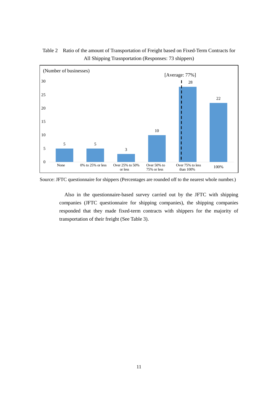

Table 2 Ratio of the amount of Transportation of Freight based on Fixed-Term Contracts for All Shipping Trasnportation (Responses: 73 shippers)

Source: JFTC questionnaire for shippers (Percentages are rounded off to the nearest whole number.)

Also in the questionnaire-based survey carried out by the JFTC with shipping companies (JFTC questionnaire for shipping companies), the shipping companies responded that they made fixed-term contracts with shippers for the majority of transportation of their freight (See Table 3).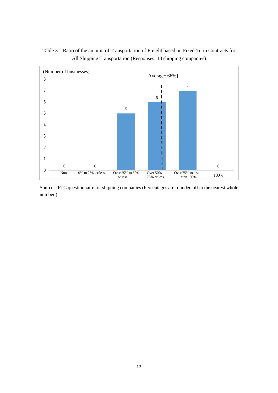

Table 3 Ratio of the amount of Transportation of Freight based on Fixed-Term Contracts for All Shipping Transportation (Responses: 18 shipping companies)

Source: JFTC questionnaire for shipping companies (Percentages are rounded off to the nearest whole number.)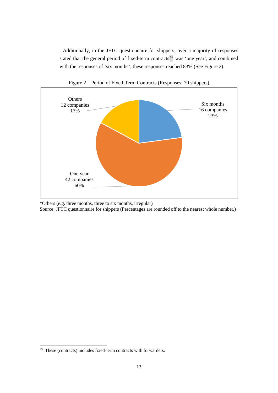Additionally, in the JFTC questionnaire for shippers, over a majority of responses stated that the general period of fixed-term contracts $\frac{33}{3}$  $\frac{33}{3}$  $\frac{33}{3}$  was 'one year', and combined with the responses of 'six months', these responses reached 83% (See Figure 2).



Figure 2 Period of Fixed-Term Contracts (Responses: 70 shippers)

\*Others (e.g. three months, three to six months, irregular) Source: JFTC questionnaire for shippers (Percentages are rounded off to the nearest whole number.)

<span id="page-14-0"></span><sup>&</sup>lt;sup>33</sup> These (contracts) includes fixed-term contracts with forwarders.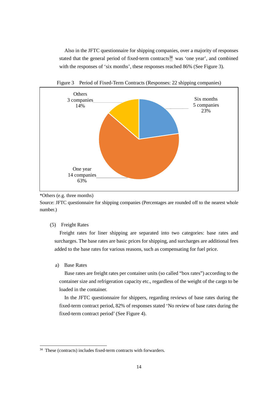Also in the JFTC questionnaire for shipping companies, over a majority of responses stated that the general period of fixed-term contracts<sup>[34](#page-15-0)</sup> was 'one year', and combined with the responses of 'six months', these responses reached 86% (See Figure 3).



Figure 3 Period of Fixed-Term Contracts (Responses: 22 shipping companies)

\*Others (e.g. three months)

Source: JFTC questionnaire for shipping companies (Percentages are rounded off to the nearest whole number.)

(5) Freight Rates

Freight rates for liner shipping are separated into two categories: base rates and surcharges. The base rates are basic prices for shipping, and surcharges are additional fees added to the base rates for various reasons, such as compensating for fuel price.

a) Base Rates

1

Base rates are freight rates per container units (so called "box rates") according to the container size and refrigeration capacity etc., regardless of the weight of the cargo to be loaded in the container.

In the JFTC questionnaire for shippers, regarding reviews of base rates during the fixed-term contract period, 82% of responses stated 'No review of base rates during the fixed-term contract period' (See Figure 4).

<span id="page-15-0"></span><sup>34</sup> These (contracts) includes fixed-term contracts with forwarders.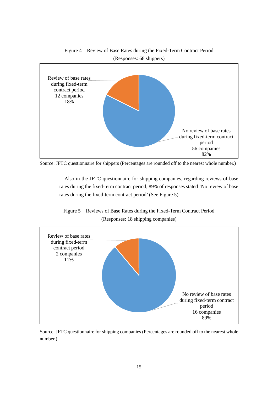

Source: JFTC questionnaire for shippers (Percentages are rounded off to the nearest whole number.)

Also in the JFTC questionnaire for shipping companies, regarding reviews of base rates during the fixed-term contract period, 89% of responses stated 'No review of base rates during the fixed-term contract period' (See Figure 5).





Source: JFTC questionnaire for shipping companies (Percentages are rounded off to the nearest whole number.)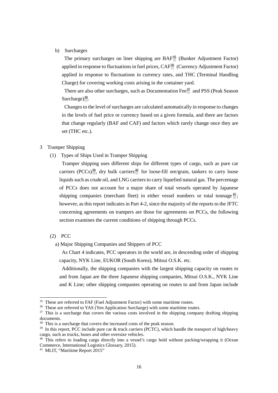# b) Surcharges

The primary surcharges on liner shipping are  $BAF<sup>35</sup>$  $BAF<sup>35</sup>$  $BAF<sup>35</sup>$  (Bunker Adjustment Factor) applied in response to fluctuations in fuel prices,  $CAF^{36}$  $CAF^{36}$  $CAF^{36}$  (Currency Adjustment Factor) applied in response to fluctuations in currency rates, and THC (Terminal Handling Charge) for covering working costs arising in the container yard.

There are also other surcharges, such as Documentation Fee<sup>[37](#page-17-3)</sup> and PSS (Peak Season Surcharge) $^{38}$ .

Changes to the level of surcharges are calculated automatically in response to changes in the levels of fuel price or currency based on a given formula, and there are factors that change regularly (BAF and CAF) and factors which rarely change once they are set (THC etc.).

# <span id="page-17-0"></span>3 Tramper Shipping

(1) Types of Ships Used in Tramper Shipping

Tramper shipping uses different ships for different types of cargo, such as pure car carriers (PCCs)<sup>[39](#page-17-5)</sup>, dry bulk carriers<sup>[40](#page-17-6)</sup> for loose-fill ore/grain, tankers to carry loose liquids such as crude oil, and LNG carriers to carry liquefied natural gas. The percentage of PCCs does not account for a major share of total vessels operated by Japanese shipping companies (merchant fleet) in either vessel numbers or total tonnage<sup>[41](#page-17-7)</sup>; however, as this report indicates in Part 4-2, since the majority of the reports to the JFTC concerning agreements on trampers are those for agreements on PCCs, the following section examines the current conditions of shipping through PCCs.

(2) PCC

1

a) Major Shipping Companies and Shippers of PCC

As Chart 4 indicates, PCC operators in the world are, in descending order of shipping capacity, NYK Line, EUKOR (South Korea), Mitsui O.S.K. etc.

Additionally, the shipping companies with the largest shipping capacity on routes to and from Japan are the three Japanese shipping companies, Mitsui O.S.K., NYK Line and K Line; other shipping companies operating on routes to and from Japan include

<span id="page-17-1"></span> $35$  These are referred to FAF (Fuel Adjustment Factor) with some maritime routes.<br> $36$  These are referred to YAS (Yen Application Surcharge) with some maritime routes.

<span id="page-17-3"></span><span id="page-17-2"></span><sup>&</sup>lt;sup>37</sup> This is a surcharge that covers the various costs involved in the shipping company drafting shipping documents.

<sup>&</sup>lt;sup>38</sup> This is a surcharge that covers the increased costs of the peak season.

<span id="page-17-5"></span><span id="page-17-4"></span> $39$  In this report, PCC include pure car & truck carriers (PCTC), which handle the transport of high/heavy cargo, such as trucks, buses and other oversize vehicles.

<span id="page-17-6"></span><sup>40</sup> This refers to loading cargo directly into a vessel's cargo hold without packing/wrapping it (Ocean Commerce, International Logistics Glossary, 2015).

<span id="page-17-7"></span><sup>41</sup> MLIT, "Maritime Report 2015"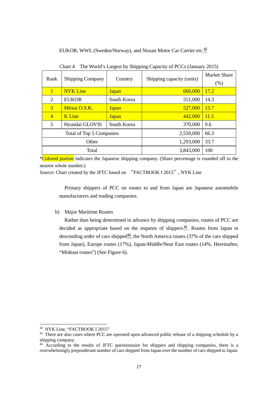# EUKOR, WWL (Sweden/Norway), and Nissan Motor Car Carrier etc.<sup>42</sup>

| Rank<br><b>Shipping Company</b><br>Country |                          |              | Shipping capacity (units) | <b>Market Share</b><br>(% ) |
|--------------------------------------------|--------------------------|--------------|---------------------------|-----------------------------|
| $\mathbf{1}$                               | <b>NYK</b> Line          | <b>Japan</b> | 660,000                   | 17.2                        |
| 2                                          | <b>EUKOR</b>             | South Korea  | 551,000                   | 14.3                        |
| 3                                          | Mitsui O.S.K.            | <b>Japan</b> | 527,000                   | 13.7                        |
| $\overline{4}$                             | <b>K</b> Line            | <b>Japan</b> | 442,000                   | 11.5                        |
| 5<br>Hyundai GLOVIS<br>South Korea         |                          |              | 370,000                   | 9.6                         |
|                                            | Total of Top 5 Companies |              | 2,550,000                 | 66.3                        |
|                                            | Other                    |              | 1,293,000                 | 33.7                        |
|                                            | Total                    |              | 3,843,000                 | 100                         |

Chart 4 The World's Largest by Shipping Capacity of PCCs (January 2015)

\*Colored portion indicates the Japanese shipping company. (Share percentage is rounded off to the nearest whole number.)

Source: Chart created by the JFTC based on "FACTBOOK I 2015", NYK Line

Primary shippers of PCC on routes to and from Japan are Japanese automobile manufacturers and trading companies.

# b) Major Maritime Routes

Rather than being determined in advance by shipping companies, routes of PCC are decided as appropriate based on the requests of shippers<sup> $43$ </sup>. Routes from Japan in descending order of cars shipped<sup> $44$ </sup>, the North America routes (37% of the cars shipped from Japan), Europe routes (17%), Japan-Middle/Near East routes (14%. Hereinafter, "Mideast routes") (See Figure 6).

<span id="page-18-0"></span><sup>42</sup> NYK Line, "FACTBOOK I 2015"

<span id="page-18-1"></span><sup>&</sup>lt;sup>43</sup> There are also cases where PCC are operated upon advanced public release of a shipping schedule by a shipping company.

<span id="page-18-2"></span><sup>&</sup>lt;sup>44</sup> According to the results of JFTC questionnaire for shippers and shipping companies, there is a overwhelmingly preponderant number of cars shipped from Japan over the number of cars shipped to Japan.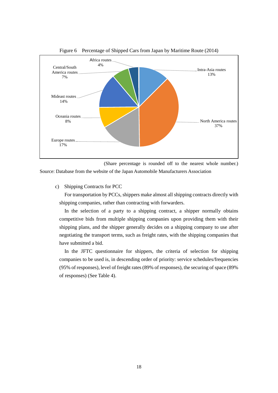

Figure 6 Percentage of Shipped Cars from Japan by Maritime Route (2014)

(Share percentage is rounded off to the nearest whole number.) Source: Database from the website of the Japan Automobile Manufacturers Association

# c) Shipping Contracts for PCC

For transportation by PCCs, shippers make almost all shipping contracts directly with shipping companies, rather than contracting with forwarders.

In the selection of a party to a shipping contract, a shipper normally obtains competitive bids from multiple shipping companies upon providing them with their shipping plans, and the shipper generally decides on a shipping company to use after negotiating the transport terms, such as freight rates, with the shipping companies that have submitted a bid.

In the JFTC questionnaire for shippers, the criteria of selection for shipping companies to be used is, in descending order of priority: service schedules/frequencies (95% of responses), level of freight rates (89% of responses), the securing of space (89% of responses) (See Table 4).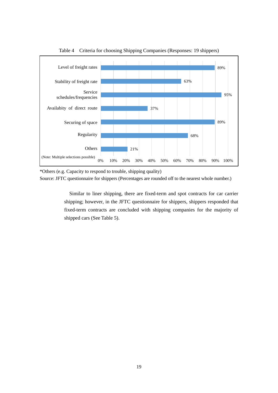

Table 4 Criteria for choosing Shipping Companies (Responses: 19 shippers)

\*Others (e.g. Capacity to respond to trouble, shipping quality) Source: JFTC questionnaire for shippers (Percentages are rounded off to the nearest whole number.)

> Similar to liner shipping, there are fixed-term and spot contracts for car carrier shipping; however, in the JFTC questionnaire for shippers, shippers responded that fixed-term contracts are concluded with shipping companies for the majority of shipped cars (See Table 5).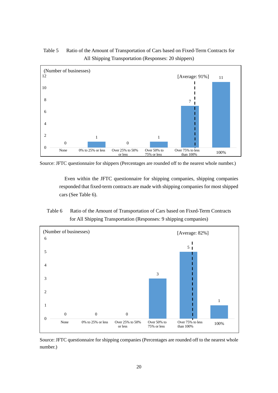

Table 5 Ratio of the Amount of Transportation of Cars based on Fixed-Term Contracts for All Shipping Transportation (Responses: 20 shippers)

Source: JFTC questionnaire for shippers (Percentages are rounded off to the nearest whole number.)

Even within the JFTC questionnaire for shipping companies, shipping companies responded that fixed-term contracts are made with shipping companies for most shipped cars (See Table 6).

# Table 6 Ratio of the Amount of Transportation of Cars based on Fixed-Term Contracts for All Shipping Transportation (Responses: 9 shipping companies)



Source: JFTC questionnaire for shipping companies (Percentages are rounded off to the nearest whole number.)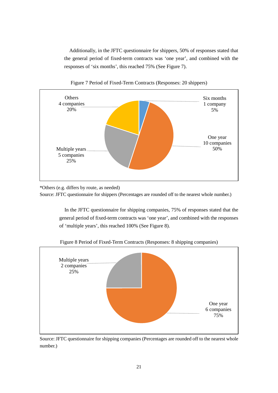Additionally, in the JFTC questionnaire for shippers, 50% of responses stated that the general period of fixed-term contracts was 'one year', and combined with the responses of 'six months', this reached 75% (See Figure 7).



Figure 7 Period of Fixed-Term Contracts (Responses: 20 shippers)

Source: JFTC questionnaire for shippers (Percentages are rounded off to the nearest whole number.)

In the JFTC questionnaire for shipping companies, 75% of responses stated that the general period of fixed-term contracts was 'one year', and combined with the responses of 'multiple years', this reached 100% (See Figure 8).



Figure 8 Period of Fixed-Term Contracts (Responses: 8 shipping companies)

Source: JFTC questionnaire for shipping companies (Percentages are rounded off to the nearest whole number.)

<sup>\*</sup>Others (e.g. differs by route, as needed)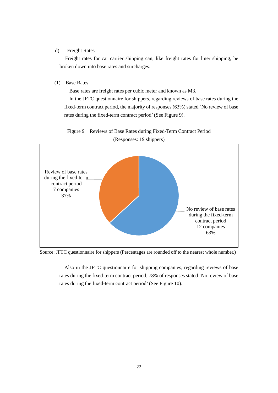# d) Freight Rates

 Freight rates for car carrier shipping can, like freight rates for liner shipping, be broken down into base rates and surcharges.

#### (1) Base Rates

Base rates are freight rates per cubic meter and known as M3.

In the JFTC questionnaire for shippers, regarding reviews of base rates during the fixed-term contract period, the majority of responses (63%) stated 'No review of base rates during the fixed-term contract period' (See Figure 9).

Figure 9 Reviews of Base Rates during Fixed-Term Contract Period (Responses: 19 shippers)



Source: JFTC questionnaire for shippers (Percentages are rounded off to the nearest whole number.)

Also in the JFTC questionnaire for shipping companies, regarding reviews of base rates during the fixed-term contract period, 78% of responses stated 'No review of base rates during the fixed-term contract period' (See Figure 10).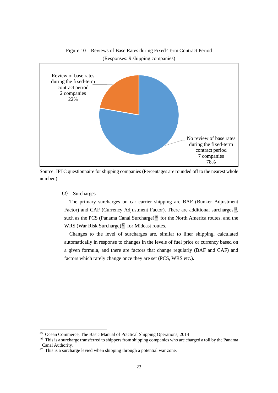

Figure 10 Reviews of Base Rates during Fixed-Term Contract Period (Responses: 9 shipping companies)

Source: JFTC questionnaire for shipping companies (Percentages are rounded off to the nearest whole number.)

# (2) Surcharges

1

The primary surcharges on car carrier shipping are BAF (Bunker Adjustment Factor) and CAF (Currency Adjustment Factor). There are additional surcharges<sup>45</sup>, such as the PCS (Panama Canal Surcharge)<sup>[46](#page-24-1)</sup> for the North America routes, and the WRS (War Risk Surcharge) $47$  for Mideast routes.

Changes to the level of surcharges are, similar to liner shipping, calculated automatically in response to changes in the levels of fuel price or currency based on a given formula, and there are factors that change regularly (BAF and CAF) and factors which rarely change once they are set (PCS, WRS etc.).

<span id="page-24-1"></span><span id="page-24-0"></span><sup>&</sup>lt;sup>45</sup> Ocean Commerce, The Basic Manual of Practical Shipping Operations, 2014<br><sup>46</sup> This is a surcharge transferred to shippers from shipping companies who are charged a toll by the Panama Canal Authority.

<span id="page-24-2"></span><sup>&</sup>lt;sup>47</sup> This is a surcharge levied when shipping through a potential war zone.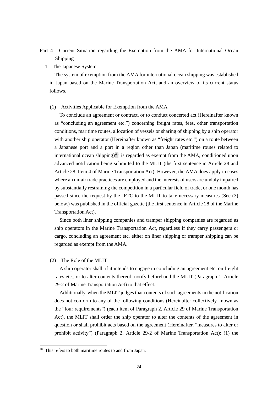# <span id="page-25-0"></span>Part 4 Current Situation regarding the Exemption from the AMA for International Ocean Shipping

<span id="page-25-1"></span>1 The Japanese System

The system of exemption from the AMA for international ocean shipping was established in Japan based on the Marine Transportation Act, and an overview of its current status follows.

#### (1) Activities Applicable for Exemption from the AMA

To conclude an agreement or contract, or to conduct concerted act (Hereinafter known as "concluding an agreement etc.") concerning freight rates, fees, other transportation conditions, maritime routes, allocation of vessels or sharing of shipping by a ship operator with another ship operator (Hereinafter known as "freight rates etc.") on a route between a Japanese port and a port in a region other than Japan (maritime routes related to international ocean shipping) $48$  is regarded as exempt from the AMA, conditioned upon advanced notification being submitted to the MLIT (the first sentence in Article 28 and Article 28, Item 4 of Marine Transportation Act). However, the AMA does apply in cases where an unfair trade practices are employed and the interests of users are unduly impaired by substantially restraining the competition in a particular field of trade, or one month has passed since the request by the JFTC to the MLIT to take necessary measures (See (3) below.) was published in the official gazette (the first sentence in Article 28 of the Marine Transportation Act).

Since both liner shipping companies and tramper shipping companies are regarded as ship operators in the Marine Transportation Act, regardless if they carry passengers or cargo, concluding an agreement etc. either on liner shipping or tramper shipping can be regarded as exempt from the AMA.

#### (2) The Role of the MLIT

A ship operator shall, if it intends to engage in concluding an agreement etc. on freight rates etc., or to alter contents thereof, notify beforehand the MLIT (Paragraph 1, Article 29-2 of Marine Transportation Act) to that effect.

Additionally, when the MLIT judges that contents of such agreements in the notification does not conform to any of the following conditions (Hereinafter collectively known as the "four requirements") (each item of Paragraph 2, Article 29 of Marine Transportation Act), the MLIT shall order the ship operator to alter the contents of the agreement in question or shall prohibit acts based on the agreement (Hereinafter, "measures to alter or prohibit activity") (Paragraph 2, Article 29-2 of Marine Transportation Act): (1) the

<span id="page-25-2"></span><sup>48</sup> This refers to both maritime routes to and from Japan.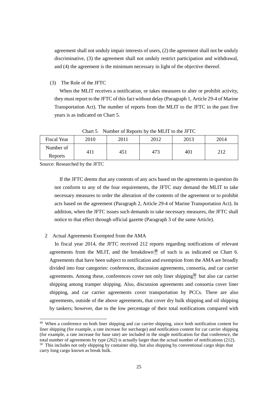agreement shall not unduly impair interests of users, (2) the agreement shall not be unduly discriminative, (3) the agreement shall not unduly restrict participation and withdrawal, and (4) the agreement is the minimum necessary in light of the objective thereof.

(3) The Role of the JFTC

When the MLIT receives a notification, or takes measures to alter or prohibit activity, they must report to the JFTC of this fact without delay (Paragraph 1, Article 29-4 of Marine Transportation Act). The number of reports from the MLIT to the JFTC in the past five years is as indicated on Chart 5.

| 2010<br>2013<br><b>Fiscal Year</b><br>2012<br>2014<br>2011<br>Number of |  |  |  |
|-------------------------------------------------------------------------|--|--|--|
|                                                                         |  |  |  |
| 473<br>401<br>າ 1 າ<br>45)<br>411<br>Reports                            |  |  |  |

Chart 5 Number of Reports by the MLIT to the JFTC

Source: Researched by the JFTC

1

If the JFTC deems that any contents of any acts based on the agreements in question do not conform to any of the four requirements, the JFTC may demand the MLIT to take necessary measures to order the alteration of the contents of the agreement or to prohibit acts based on the agreement (Paragraph 2, Article 29-4 of Marine Transportation Act). In addition, when the JFTC issues such demands to take necessary measures, the JFTC shall notice to that effect through official gazette (Paragraph 3 of the same Article).

#### <span id="page-26-0"></span>2 Actual Agreements Exempted from the AMA

In fiscal year 2014, the JFTC received 212 reports regarding notifications of relevant agreements from the MLIT, and the breakdown<sup>[49](#page-26-1)</sup> of such is as indicated on Chart 6. Agreements that have been subject to notification and exemption from the AMA are broadly divided into four categories: conferences, discussion agreements, consortia, and car carrier agreements. Among these, conferences cover not only liner shipping<sup>[50](#page-26-2)</sup> but also car carrier shipping among tramper shipping. Also, discussion agreements and consortia cover liner shipping, and car carrier agreements cover transportation by PCCs. There are also agreements, outside of the above agreements, that cover dry bulk shipping and oil shipping by tankers; however, due to the low percentage of their total notifications compared with

<span id="page-26-1"></span><sup>49</sup> When a conference on both liner shipping and car carrier shipping, since both notification content for liner shipping (for example, a rate increase for surcharge) and notification content for car carrier shipping (for example, a rate increase for base rate) are included in the single notification for that conference, the total number of agreements by type (262) is actually larger than the actual number of notifications (212).

<span id="page-26-2"></span> $50\,$  This includes not only shipping by container ship, but also shipping by conventional cargo ships that carry long cargo known as break bulk.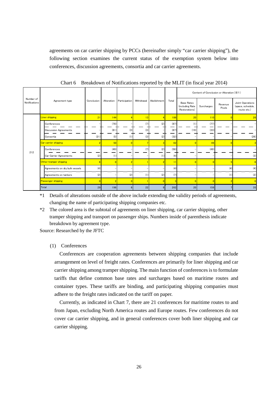agreements on car carrier shipping by PCCs (hereinafter simply "car carrier shipping"), the following section examines the current status of the exemption system below into conferences, discussion agreements, consortia and car carrier agreements.

|                            | Agreement type     |                                | Conclusion     | Alteration     |                | Withdrawal | Abolishment    | Total | Content of Conclusion or Alteration ( $\divideontimes$ 1) |            |                  |                                                      |
|----------------------------|--------------------|--------------------------------|----------------|----------------|----------------|------------|----------------|-------|-----------------------------------------------------------|------------|------------------|------------------------------------------------------|
| Number of<br>Notifications |                    |                                |                |                | Participation  |            |                |       | <b>Base Rates</b><br>(including Rate<br>Restorations)     | Surcharges | Revenue<br>Pools | Joint Operations<br>(space, schedule,<br>route etc.) |
|                            |                    | <b>Liner shipping</b>          | 21             | 144            | z              | 13         |                | 186   | 20                                                        | 110        |                  | 26                                                   |
|                            |                    | Conferences                    |                | (78)           |                | (7)        | (2)            | (87)  | (1)                                                       | (77)       |                  |                                                      |
|                            |                    | <b>Discussion Agreements</b>   |                | (61)           | (3)            | (3)        |                | (67)  | (19)                                                      | (33)       |                  |                                                      |
|                            |                    | Consortia                      | (21)           | (5)            | (1)            | (3)        | (2)            | (32)  |                                                           |            |                  | (26)                                                 |
|                            |                    | Car carrier shipping           | $\overline{2}$ | 50             | $\overline{0}$ |            |                | 62    | $\overline{0}$                                            | 49         |                  | $\overline{3}$                                       |
| 212                        |                    | Conferences                    |                | (49)           |                | (7)        | (2)            | (58)  |                                                           | (49)       |                  | -                                                    |
|                            |                    | Car Carrier Agreements         | (2)            | (1)            |                |            | (1)            | (4)   |                                                           |            |                  | (3)                                                  |
|                            |                    | Other tramper shipping         | 6              | $\overline{0}$ | $\overline{2}$ |            | 2              | 11    |                                                           |            |                  | 6                                                    |
|                            |                    | Agreements on dry bulk vessels | (4)            |                |                |            |                | (4)   |                                                           |            | (4)              | (4)                                                  |
|                            |                    | Agreements on tankers          | (2)            |                | (2)            | (1)        | (2)            | (7)   |                                                           |            | (1)              | (2)                                                  |
|                            | Passenger shipping |                                | $\overline{0}$ | $\overline{2}$ | $\overline{0}$ |            |                |       |                                                           |            |                  | $\overline{0}$                                       |
|                            | Total              |                                | 29             | 196            | 6              | 22         | 9 <sup>1</sup> | 262   | 20                                                        | 159        |                  | 35                                                   |

Chart 6 Breakdown of Notifications reported by the MLIT (in fiscal year 2014)

\*1 Details of alterations outside of the above include extending the validity periods of agreements, changing the name of participating shipping companies etc.

\*2 The colored area is the subtotal of agreements on liner shipping, car carrier shipping, other tramper shipping and transport on passenger ships. Numbers inside of parenthesis indicate breakdown by agreement type.

Source: Researched by the JFTC

#### (1) Conferences

Conferences are cooperation agreements between shipping companies that include arrangement on level of freight rates. Conferences are primarily for liner shipping and car carrier shipping among tramper shipping. The main function of conferences is to formulate tariffs that define common base rates and surcharges based on maritime routes and container types. These tariffs are binding, and participating shipping companies must adhere to the freight rates indicated on the tariff on paper.

Currently, as indicated in Chart 7, there are 21 conferences for maritime routes to and from Japan, excluding North America routes and Europe routes. Few conferences do not cover car carrier shipping, and in general conferences cover both liner shipping and car carrier shipping.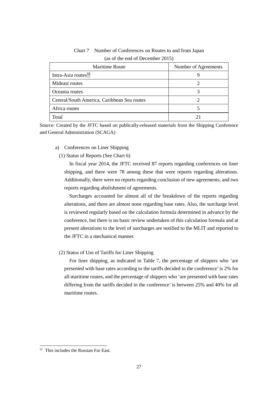| Maritime Route                              | Number of Agreements |
|---------------------------------------------|----------------------|
| Intra-Asia routes <sup>51</sup>             |                      |
| Mideast routes                              |                      |
| Oceania routes                              |                      |
| Central/South America, Caribbean Sea routes |                      |
| Africa routes                               |                      |
| Total                                       |                      |

Chart 7 Number of Conferences on Routes to and from Japan (as of the end of December 2015)

Source: Created by the JFTC based on publically-released materials from the Shipping Conference and General Administration (SCAGA)

- a) Conferences on Liner Shipping
	- (1) Status of Reports (See Chart 6)

In fiscal year 2014, the JFTC received 87 reports regarding conferences on liner shipping, and there were 78 among these that were reports regarding alterations. Additionally, there were no reports regarding conclusion of new agreements, and two reports regarding abolishment of agreements.

Surcharges accounted for almost all of the breakdown of the reports regarding alterations, and there are almost none regarding base rates. Also, the surcharge level is reviewed regularly based on the calculation formula determined in advance by the conference, but there is no basic review undertaken of this calculation formula and at present alterations to the level of surcharges are notified to the MLIT and reported to the JFTC in a mechanical manner.

(2) Status of Use of Tariffs for Liner Shipping

For liner shipping, as indicated in Table 7, the percentage of shippers who 'are presented with base rates according to the tariffs decided in the conference' is 2% for all maritime routes, and the percentage of shippers who 'are presented with base rates differing from the tariffs decided in the conference' is between 25% and 40% for all maritime routes.

<span id="page-28-0"></span><sup>51</sup> This includes the Russian Far East.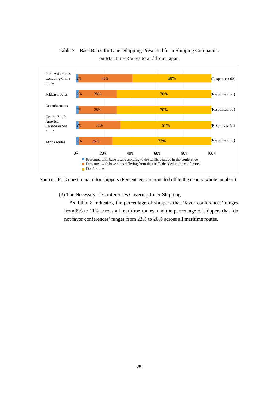

Table 7 Base Rates for Liner Shipping Presented from Shipping Companies on Maritime Routes to and from Japan

Source: JFTC questionnaire for shippers (Percentages are rounded off to the nearest whole number.)

(3) The Necessity of Conferences Covering Liner Shipping

As Table 8 indicates, the percentage of shippers that 'favor conferences' ranges from 8% to 11% across all maritime routes, and the percentage of shippers that 'do not favor conferences' ranges from 23% to 26% across all maritime routes.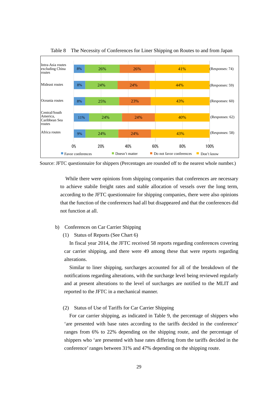

Table 8 The Necessity of Conferences for Liner Shipping on Routes to and from Japan

Source: JFTC questionnaire for shippers (Percentages are rounded off to the nearest whole number.)

While there were opinions from shipping companies that conferences are necessary to achieve stabile freight rates and stable allocation of vessels over the long term, according to the JFTC questionnaire for shipping companies, there were also opinions that the function of the conferences had all but disappeared and that the conferences did not function at all.

- b) Conferences on Car Carrier Shipping
	- (1) Status of Reports (See Chart 6)

In fiscal year 2014, the JFTC received 58 reports regarding conferences covering car carrier shipping, and there were 49 among these that were reports regarding alterations.

Similar to liner shipping, surcharges accounted for all of the breakdown of the notifications regarding alterations, with the surcharge level being reviewed regularly and at present alterations to the level of surcharges are notified to the MLIT and reported to the JFTC in a mechanical manner.

(2) Status of Use of Tariffs for Car Carrier Shipping

For car carrier shipping, as indicated in Table 9, the percentage of shippers who 'are presented with base rates according to the tariffs decided in the conference' ranges from 6% to 22% depending on the shipping route, and the percentage of shippers who 'are presented with base rates differing from the tariffs decided in the conference'ranges between 31% and 47% depending on the shipping route.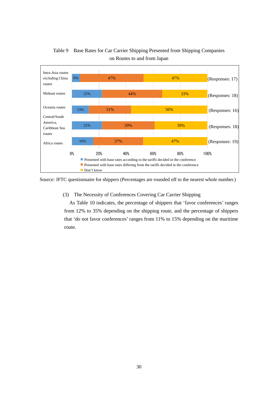

Table 9 Base Rates for Car Carrier Shipping Presented from Shipping Companies on Routes to and from Japan

Source: JFTC questionnaire for shippers (Percentages are rounded off to the nearest whole number.)

(3) The Necessity of Conferences Covering Car Carrier Shipping

As Table 10 indicates, the percentage of shippers that 'favor conferences' ranges from 12% to 35% depending on the shipping route, and the percentage of shippers that 'do not favor conferences' ranges from 11% to 15% depending on the maritime route.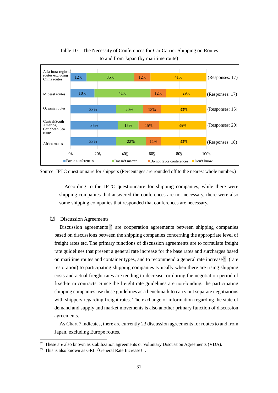

Table 10 The Necessity of Conferences for Car Carrier Shipping on Routes to and from Japan (by maritime route)

Source: JFTC questionnaire for shippers (Percentages are rounded off to the nearest whole number.)

According to the JFTC questionnaire for shipping companies, while there were shipping companies that answered the conferences are not necessary, there were also some shipping companies that responded that conferences are necessary.

# ⑵ Discussion Agreements

Discussion agreements<sup>[52](#page-32-0)</sup> are cooperation agreements between shipping companies based on discussions between the shipping companies concerning the appropriate level of freight rates etc. The primary functions of discussion agreements are to formulate freight rate guidelines that present a general rate increase for the base rates and surcharges based on maritime routes and container types, and to recommend a general rate increase<sup>[53](#page-32-1)</sup> (rate restoration) to participating shipping companies typically when there are rising shipping costs and actual freight rates are tending to decrease, or during the negotiation period of fixed-term contracts. Since the freight rate guidelines are non-binding, the participating shipping companies use these guidelines as a benchmark to carry out separate negotiations with shippers regarding freight rates. The exchange of information regarding the state of demand and supply and market movements is also another primary function of discussion agreements.

As Chart 7 indicates, there are currently 23 discussion agreements for routes to and from Japan, excluding Europe routes.

<span id="page-32-0"></span><sup>&</sup>lt;sup>52</sup> These are also known as stabilization agreements or Voluntary Discussion Agreements (VDA).<br><sup>53</sup> This is also known as GRI (General Rate Increase).

<span id="page-32-1"></span>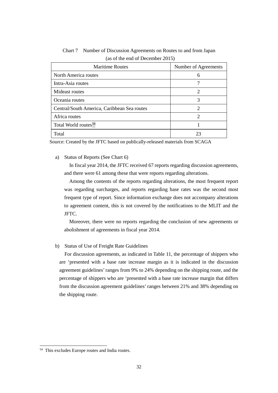| <b>Maritime Routes</b>                      | Number of Agreements        |
|---------------------------------------------|-----------------------------|
| North America routes                        |                             |
| Intra-Asia routes                           |                             |
| Mideast routes                              | $\mathcal{D}_{\mathcal{L}}$ |
| Oceania routes                              | 3                           |
| Central/South America, Caribbean Sea routes | 2                           |
| Africa routes                               | ာ                           |
| Total World routes <sup>54</sup>            |                             |
| Total                                       | 23                          |

Chart 7 Number of Discussion Agreements on Routes to and from Japan (as of the end of December 2015)

Source: Created by the JFTC based on publically-released materials from SCAGA

a) Status of Reports (See Chart 6)

In fiscal year 2014, the JFTC received 67 reports regarding discussion agreements, and there were 61 among these that were reports regarding alterations.

Among the contents of the reports regarding alterations, the most frequent report was regarding surcharges, and reports regarding base rates was the second most frequent type of report. Since information exchange does not accompany alterations to agreement content, this is not covered by the notifications to the MLIT and the JFTC.

Moreover, there were no reports regarding the conclusion of new agreements or abolishment of agreements in fiscal year 2014.

b) Status of Use of Freight Rate Guidelines

For discussion agreements, as indicated in Table 11, the percentage of shippers who are 'presented with a base rate increase margin as it is indicated in the discussion agreement guidelines'ranges from 9% to 24% depending on the shipping route, and the percentage of shippers who are 'presented with a base rate increase margin that differs from the discussion agreement guidelines' ranges between 21% and 38% depending on the shipping route.

<span id="page-33-0"></span><sup>54</sup> This excludes Europe routes and India routes.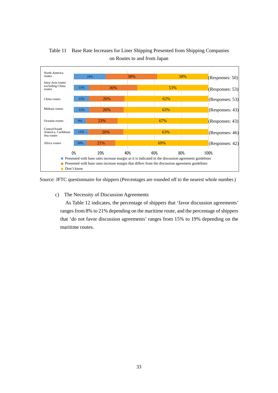

Table 11 Base Rate Increases for Liner Shipping Presented from Shipping Companies on Routes to and from Japan

Source: JFTC questionnaire for shippers (Percentages are rounded off to the nearest whole number.)

c) The Necessity of Discussion Agreements

 As Table 12 indicates, the percentage of shippers that 'favor discussion agreements' ranges from 8% to 21% depending on the maritime route, and the percentage of shippers that 'do not favor discussion agreements' ranges from 15% to 19% depending on the maritime routes.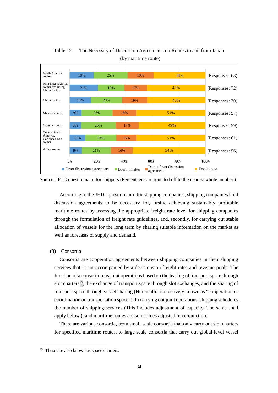

Table 12 The Necessity of Discussion Agreements on Routes to and from Japan (by maritime route)

Source: JFTC questionnaire for shippers (Percentages are rounded off to the nearest whole number.)

According to the JFTC questionnaire for shipping companies, shipping companies hold discussion agreements to be necessary for, firstly, achieving sustainably profitable maritime routes by assessing the appropriate freight rate level for shipping companies through the formulation of freight rate guidelines, and, secondly, for carrying out stable allocation of vessels for the long term by sharing suitable information on the market as well as forecasts of supply and demand.

(3) Consortia

Consortia are cooperation agreements between shipping companies in their shipping services that is not accompanied by a decisions on freight rates and revenue pools. The function of a consortium is joint operations based on the leasing of transport space through slot charters<sup>55</sup>, the exchange of transport space through slot exchanges, and the sharing of transport space through vessel sharing (Hereinafter collectively known as "cooperation or coordination on transportation space"). In carrying out joint operations, shipping schedules, the number of shipping services (This includes adjustment of capacity. The same shall apply below.), and maritime routes are sometimes adjusted in conjunction.

There are various consortia, from small-scale consortia that only carry out slot charters for specified maritime routes, to large-scale consortia that carry out global-level vessel

<span id="page-35-0"></span><sup>55</sup> These are also known as space charters.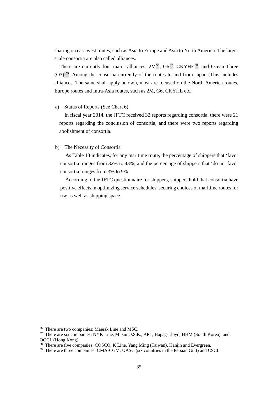sharing on east-west routes, such as Asia to Europe and Asia to North America. The largescale consortia are also called alliances.

There are currently four major alliances:  $2M^{56}$  $2M^{56}$  $2M^{56}$ ,  $G6^{57}$  $G6^{57}$  $G6^{57}$ , CKYHE<sup>[58](#page-36-2)</sup>, and Ocean Three (O3) [59](#page-36-3). Among the consortia currently of the routes to and from Japan (This includes alliances. The same shall apply below.), most are focused on the North America routes, Europe routes and Intra-Asia routes, such as 2M, G6, CKYHE etc.

#### a) Status of Reports (See Chart 6)

In fiscal year 2014, the JFTC received 32 reports regarding consortia, there were 21 reports regarding the conclusion of consortia, and there were two reports regarding abolishment of consortia.

#### b) The Necessity of Consortia

 As Table 13 indicates, for any maritime route, the percentage of shippers that 'favor consortia' ranges from 32% to 43%, and the percentage of shippers that 'do not favor consortia' ranges from 3% to 9%.

 According to the JFTC questionnaire for shippers, shippers hold that consortia have positive effects in optimizing service schedules, securing choices of maritime routes for use as well as shipping space.

<span id="page-36-0"></span><sup>56</sup> There are two companies: Maersk Line and MSC.

<span id="page-36-1"></span><sup>&</sup>lt;sup>57</sup> There are six companies: NYK Line, Mitsui O.S.K., APL, Hapag-Lloyd, HHM (South Korea), and OOCL (Hong Kong).

<span id="page-36-2"></span><sup>&</sup>lt;sup>58</sup> There are five companies: COSCO, K Line, Yang Ming (Taiwan), Hanjin and Evergreen.

<span id="page-36-3"></span><sup>&</sup>lt;sup>59</sup> There are three companies: CMA-CGM, UASC (six countries in the Persian Gulf) and CSCL.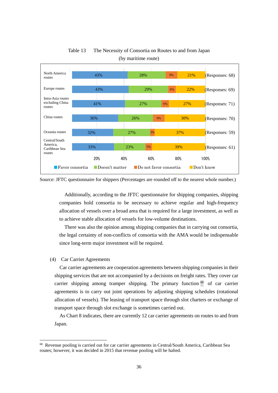

Table 13 The Necessity of Consortia on Routes to and from Japan (by maritime route)

Additionally, according to the JFTC questionnaire for shipping companies, shipping companies hold consortia to be necessary to achieve regular and high-frequency allocation of vessels over a broad area that is required for a large investment, as well as to achieve stable allocation of vessels for low-volume destinations.

 There was also the opinion among shipping companies that in carrying out consortia, the legal certainty of non-conflicts of consortia with the AMA would be indispensable since long-term major investment will be required.

#### (4) Car Carrier Agreements

1

Car carrier agreements are cooperation agreements between shipping companies in their shipping services that are not accompanied by a decisions on freight rates. They cover car carrier shipping among tramper shipping. The primary function  $60$  of car carrier agreements is to carry out joint operations by adjusting shipping schedules (rotational allocation of vessels). The leasing of transport space through slot charters or exchange of transport space through slot exchange is sometimes carried out.

As Chart 8 indicates, there are currently 12 car carrier agreements on routes to and from Japan.

Source: JFTC questionnaire for shippers (Percentages are rounded off to the nearest whole number.)

<span id="page-37-0"></span> $60$  Revenue pooling is carried out for car carrier agreements in Central/South America, Caribbean Sea routes; however, it was decided in 2015 that revenue pooling will be halted.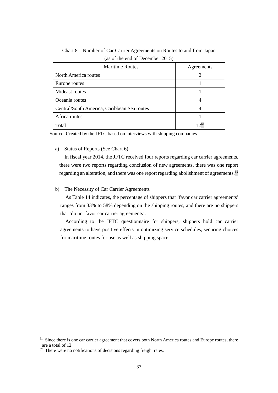| <b>Maritime Routes</b>                      | Agreements |
|---------------------------------------------|------------|
| North America routes                        |            |
| Europe routes                               |            |
| Mideast routes                              |            |
| Oceania routes                              |            |
| Central/South America, Caribbean Sea routes |            |
| Africa routes                               |            |
| Total                                       | $12^{61}$  |

Chart 8 Number of Car Carrier Agreements on Routes to and from Japan (as of the end of December 2015)

Source: Created by the JFTC based on interviews with shipping companies

a) Status of Reports (See Chart 6)

In fiscal year 2014, the JFTC received four reports regarding car carrier agreements, there were two reports regarding conclusion of new agreements, there was one report regarding an alteration, and there was one report regarding abolishment of agreements.  $^{62}$  $^{62}$  $^{62}$ 

# b) The Necessity of Car Carrier Agreements

 As Table 14 indicates, the percentage of shippers that 'favor car carrier agreements' ranges from 33% to 58% depending on the shipping routes, and there are no shippers that 'do not favor car carrier agreements'.

 According to the JFTC questionnaire for shippers, shippers hold car carrier agreements to have positive effects in optimizing service schedules, securing choices for maritime routes for use as well as shipping space.

<span id="page-38-0"></span><sup>&</sup>lt;sup>61</sup> Since there is one car carrier agreement that covers both North America routes and Europe routes, there are a total of 12.

<span id="page-38-1"></span><sup>&</sup>lt;sup>62</sup> There were no notifications of decisions regarding freight rates.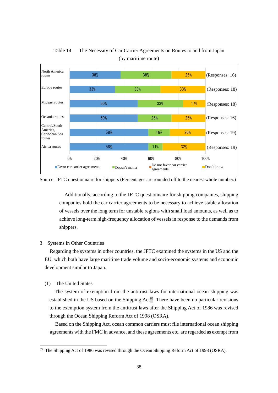

Table 14 The Necessity of Car Carrier Agreements on Routes to and from Japan (by maritime route)

Source: JFTC questionnaire for shippers (Percentages are rounded off to the nearest whole number.)

Additionally, according to the JFTC questionnaire for shipping companies, shipping companies hold the car carrier agreements to be necessary to achieve stable allocation of vessels over the long term for unstable regions with small load amounts, as well as to achieve long-term high-frequency allocation of vessels in response to the demands from shippers.

# <span id="page-39-0"></span>3 Systems in Other Countries

Regarding the systems in other countries, the JFTC examined the systems in the US and the EU, which both have large maritime trade volume and socio-economic systems and economic development similar to Japan.

# (1) The United States

1

The system of exemption from the antitrust laws for international ocean shipping was established in the US based on the Shipping  $Act^{63}$ . There have been no particular revisions to the exemption system from the antitrust laws after the Shipping Act of 1986 was revised through the Ocean Shipping Reform Act of 1998 (OSRA).

 Based on the Shipping Act, ocean common carriers must file international ocean shipping agreements with the FMC in advance, and these agreements etc. are regarded as exempt from

<span id="page-39-1"></span><sup>&</sup>lt;sup>63</sup> The Shipping Act of 1986 was revised through the Ocean Shipping Reform Act of 1998 (OSRA).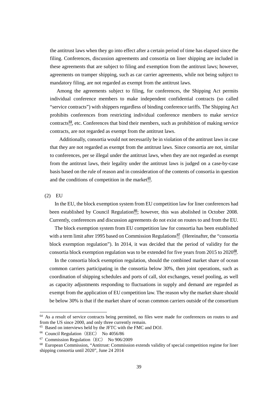the antitrust laws when they go into effect after a certain period of time has elapsed since the filing. Conferences, discussion agreements and consortia on liner shipping are included in these agreements that are subject to filing and exemption from the antitrust laws; however, agreements on tramper shipping, such as car carrier agreements, while not being subject to mandatory filing, are not regarded as exempt from the antitrust laws.

 Among the agreements subject to filing, for conferences, the Shipping Act permits individual conference members to make independent confidential contracts (so called "service contracts") with shippers regardless of binding conference tariffs. The Shipping Act prohibits conferences from restricting individual conference members to make service contracts<sup>[64](#page-40-0)</sup>, etc. Conferences that bind their members, such as prohibition of making service contracts, are not regarded as exempt from the antitrust laws.

Additionally, consortia would not necessarily be in violation of the antitrust laws in case that they are not regarded as exempt from the antitrust laws. Since consortia are not, similar to conferences, per se illegal under the antitrust laws, when they are not regarded as exempt from the antitrust laws, their legality under the antitrust laws is judged on a case-by-case basis based on the rule of reason and in consideration of the contents of consortia in question and the conditions of competition in the market $65$ .

(2) EU

1

In the EU, the block exemption system from EU competition law for liner conferences had been established by Council Regulation<sup>[66](#page-40-2)</sup>; however, this was abolished in October 2008. Currently, conferences and discussion agreements do not exist on routes to and from the EU.

The block exemption system from EU competition law for consortia has been established with a term limit after 1995 based on Commission Regulations<sup>[67](#page-40-3)</sup> (Hereinafter, the "consortia block exemption regulation"). In 2014, it was decided that the period of validity for the consortia block exemption regulation was to be extended for five years from 2015 to 2020[68](#page-40-4).

In the consortia block exemption regulation, should the combined market share of ocean common carriers participating in the consortia below 30%, then joint operations, such as coordination of shipping schedules and ports of call, slot exchanges, vessel pooling, as well as capacity adjustments responding to fluctuations in supply and demand are regarded as exempt from the application of EU competition law. The reason why the market share should be below 30% is that if the market share of ocean common carriers outside of the consortium

<span id="page-40-0"></span> $64$  As a result of service contracts being permitted, no files were made for conferences on routes to and from the US since 2000, and only three currently remain.

<span id="page-40-1"></span><sup>65</sup> Based on interviews held by the JFTC with the FMC and DOJ.

<span id="page-40-2"></span><sup>&</sup>lt;sup>66</sup> Council Regulation (EEC) No 4056/86

<span id="page-40-3"></span><sup>&</sup>lt;sup>67</sup> Commission Regulation (EC) No 906/2009

<span id="page-40-4"></span><sup>68</sup> European Commission, "Antitrust: Commission extends validity of special competition regime for liner shipping consortia until 2020", June 24 2014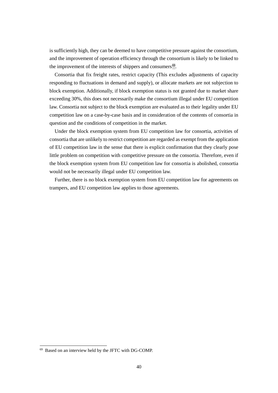is sufficiently high, they can be deemed to have competitive pressure against the consortium, and the improvement of operation efficiency through the consortium is likely to be linked to the improvement of the interests of shippers and consumers $69$ .

Consortia that fix freight rates, restrict capacity (This excludes adjustments of capacity responding to fluctuations in demand and supply), or allocate markets are not subjection to block exemption. Additionally, if block exemption status is not granted due to market share exceeding 30%, this does not necessarily make the consortium illegal under EU competition law. Consortia not subject to the block exemption are evaluated as to their legality under EU competition law on a case-by-case basis and in consideration of the contents of consortia in question and the conditions of competition in the market.

Under the block exemption system from EU competition law for consortia, activities of consortia that are unlikely to restrict competition are regarded as exempt from the application of EU competition law in the sense that there is explicit confirmation that they clearly pose little problem on competition with competitive pressure on the consortia. Therefore, even if the block exemption system from EU competition law for consortia is abolished, consortia would not be necessarily illegal under EU competition law.

Further, there is no block exemption system from EU competition law for agreements on trampers, and EU competition law applies to those agreements.

<span id="page-41-0"></span><sup>69</sup> Based on an interview held by the JFTC with DG-COMP.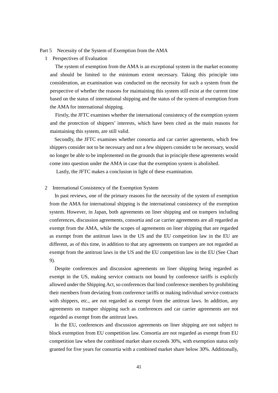# <span id="page-42-0"></span>Part 5 Necessity of the System of Exemption from the AMA

<span id="page-42-1"></span>1 Perspectives of Evaluation

The system of exemption from the AMA is an exceptional system in the market economy and should be limited to the minimum extent necessary. Taking this principle into consideration, an examination was conducted on the necessity for such a system from the perspective of whether the reasons for maintaining this system still exist at the current time based on the status of international shipping and the status of the system of exemption from the AMA for international shipping.

 Firstly, the JFTC examines whether the international consistency of the exemption system and the protection of shippers' interests, which have been cited as the main reasons for maintaining this system, are still valid.

Secondly, the JFTC examines whether consortia and car carrier agreements, which few shippers consider not to be necessary and not a few shippers consider to be necessary, would no longer be able to be implemented on the grounds that in principle these agreements would come into question under the AMA in case that the exemption system is abolished.

Lastly, the JFTC makes a conclusion in light of these examination.

# <span id="page-42-2"></span>2 International Consistency of the Exemption System

In past reviews, one of the primary reasons for the necessity of the system of exemption from the AMA for international shipping is the international consistency of the exemption system. However, in Japan, both agreements on liner shipping and on trampers including conferences, discussion agreements, consortia and car carrier agreements are all regarded as exempt from the AMA, while the scopes of agreements on liner shipping that are regarded as exempt from the antitrust laws in the US and the EU competition law in the EU are different, as of this time, in addition to that any agreements on trampers are not regarded as exempt from the antitrust laws in the US and the EU competition law in the EU (See Chart 9).

Despite conferences and discussion agreements on liner shipping being regarded as exempt in the US, making service contracts not bound by conference tariffs is explictly allowed under the Shipping Act, so conferences that bind conference members by prohibiting their members from deviating from conference tariffs or making individual service contracts with shippers, etc., are not regarded as exempt from the antitrust laws. In addition, any agreements on tramper shipping such as conferences and car carrier agreements are not regarded as exempt from the antitrust laws.

In the EU, conferences and discussion agreements on liner shipping are not subject to block exemption from EU competition law. Consortia are not regarded as exempt from EU competition law when the combined market share exceeds 30%, with exemption status only granted for five years for consortia with a combined market share below 30%. Additionally,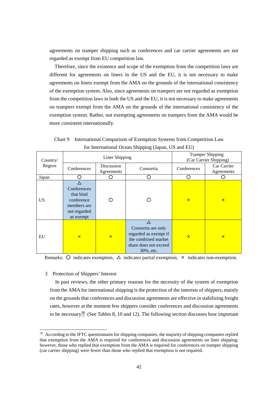agreements on tramper shipping such as conferences and car carrier agreements are not regarded as exempt from EU competition law.

Therefore, since the existence and scope of the exemption from the competition laws are different for agreements on liners in the US and the EU, it is not necessary to make agreements on liners exempt from the AMA on the grounds of the international consistency of the exemption system. Also, since agreements on trampers are not regarded as exemption from the competition laws in both the US and the EU, it is not necessary to make agreements on trampers exempt from the AMA on the grounds of the international consistency of the exemption system. Rather, not exempting agreements on trampers from the AMA would be more consistent internationally.

Chart 9 International Comparison of Exemption Systems from Competition Law for International Ocean Shipping (Japan, US and EU)

| Country/  |                                                                                    | Liner Shipping           |                                                                                                          |                         | <b>Tramper Shipping</b><br>(Car Carrier Shipping) |
|-----------|------------------------------------------------------------------------------------|--------------------------|----------------------------------------------------------------------------------------------------------|-------------------------|---------------------------------------------------|
| Region    | Conferences                                                                        | Discussion<br>Agreements | Consortia                                                                                                | Conferences             | Car Carrier<br>Agreements                         |
| Japan     |                                                                                    |                          |                                                                                                          |                         |                                                   |
| <b>US</b> | Conferences<br>that bind<br>conference<br>members are<br>not regarded<br>as exempt |                          |                                                                                                          | $\mathsf{x}$            | $\overline{\mathsf{x}}$                           |
| EU        | $\overline{\mathsf{x}}$                                                            | $\overline{\mathsf{x}}$  | Consortia are only<br>regarded as exempt if<br>the combined market<br>share does not exceed<br>30%, etc. | $\overline{\mathsf{x}}$ | $\overline{\mathsf{x}}$                           |

Remarks:  $\circ$  indicates exemption,  $\triangle$  indicates partial exemption,  $\times$  indicates non-exemption.

<span id="page-43-0"></span>3 Protection of Shippers' Interest

1

 In past reviews, the other primary reasons for the necessity of the system of exemption from the AMA for international shipping is the protection of the interests of shippers, mainly on the grounds that conferences and discussion agreements are effective in stabilizing freight rates, however at the moment few shippers consider conferences and discussion agreements to be necessary<sup>[70](#page-43-1)</sup> (See Tables 8, 10 and 12). The following section discusses how important

<span id="page-43-1"></span> $70$  According to the JFTC questionnaire for shipping companies, the majority of shipping companies replied that exemption from the AMA is required for conferences and discussion agreements on liner shipping; however, those who replied that exemption from the AMA is required for conferences on tramper shipping (car carrier shipping) were fewer than those who replied that exemption is not required.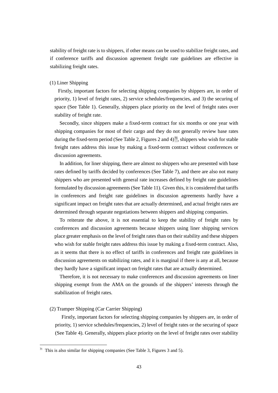stability of freight rate is to shippers, if other means can be used to stabilize freight rates, and if conference tariffs and discussion agreement freight rate guidelines are effective in stabilizing freight rates.

#### (1) Liner Shipping

Firstly, important factors for selecting shipping companies by shippers are, in order of priority, 1) level of freight rates, 2) service schedules/frequencies, and 3) the securing of space (See Table 1). Generally, shippers place priority on the level of freight rates over stability of freight rate.

Secondly, since shippers make a fixed-term contract for six months or one year with shipping companies for most of their cargo and they do not generally review base rates during the fixed-term period (See Table 2, Figures 2 and  $4^{71}$ , shippers who wish for stable freight rates address this issue by making a fixed-term contract without conferences or discussion agreements.

In addition, for liner shipping, there are almost no shippers who are presented with base rates defined by tariffs decided by conferences (See Table 7), and there are also not many shippers who are presented with general rate increases defined by freight rate guidelines formulated by discussion agreements (See Table 11). Given this, it is considered that tariffs in conferences and freight rate guidelines in discussion agreements hardly have a significant impact on freight rates that are actually determined, and actual freight rates are determined through separate negotiations between shippers and shipping companies.

To reiterate the above, it is not essential to keep the stability of freight rates by conferences and discussion agreements because shippers using liner shipping services place greater emphasis on the level of freight rates than on their stability and these shippers who wish for stable freight rates address this issue by making a fixed-term contract. Also, as it seems that there is no effect of tariffs in conferences and freight rate guidelines in discussion agreements on stabilizing rates, and it is marginal if there is any at all, because they hardly have a significant impact on freight rates that are actually determined.

Therefore, it is not necessary to make conferences and discussion agreements on liner shipping exempt from the AMA on the grounds of the shippers' interests through the stabilization of freight rates.

#### (2) Tramper Shipping (Car Carrier Shipping)

1

Firstly, important factors for selecting shipping companies by shippers are, in order of priority, 1) service schedules/frequencies, 2) level of freight rates or the securing of space (See Table 4). Generally, shippers place priority on the level of freight rates over stability

<span id="page-44-0"></span> $71$  This is also similar for shipping companies (See Table 3, Figures 3 and 5).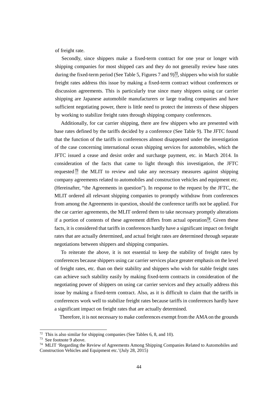of freight rate.

Secondly, since shippers make a fixed-term contract for one year or longer with shipping companies for most shipped cars and they do not generally review base rates during the fixed-term period (See Table 5, Figures 7 and  $9^{72}$  $9^{72}$  $9^{72}$ , shippers who wish for stable freight rates address this issue by making a fixed-term contract without conferences or discussion agreements. This is particularly true since many shippers using car carrier shipping are Japanese automobile manufacturers or large trading companies and have sufficient negotiating power, there is little need to protect the interests of these shippers by working to stabilize freight rates through shipping company conferences.

Additionally, for car carrier shipping, there are few shippers who are presented with base rates defined by the tariffs decided by a conference (See Table 9). The JFTC found that the function of the tariffs in conferences almost disappeared under the investigation of the case concerning international ocean shipping services for automobiles, which the JFTC issued a cease and desist order and surcharge payment, etc. in March 2014. In consideration of the facts that came to light through this investigation, the JFTC requested  $\frac{73}{12}$  $\frac{73}{12}$  $\frac{73}{12}$  the MLIT to review and take any necessary measures against shipping company agreements related to automobiles and construction vehicles and equipment etc. (Hereinafter, "the Agreements in question"). In response to the request by the JFTC, the MLIT ordered all relevant shipping companies to promptly withdraw from conferences from among the Agreements in question, should the conference tariffs not be applied. For the car carrier agreements, the MLIT ordered them to take necessary promptly alterations if a portion of contents of these agreement differs from actual operation<sup>[74](#page-45-2)</sup>. Given these facts, it is considered that tariffs in conferences hardly have a significant impact on freight rates that are actually determined, and actual freight rates are determined through separate negotiations between shippers and shipping companies.

To reiterate the above, it is not essential to keep the stability of freight rates by conferences because shippers using car carrier services place greater emphasis on the level of freight rates, etc. than on their stability and shippers who wish for stable freight rates can achieve such stability easily by making fixed-term contracts in consideration of the negotiating power of shippers on using car carrier services and they actually address this issue by making a fixed-term contract. Also, as it is difficult to claim that the tariffs in conferences work well to stabilize freight rates because tariffs in conferences hardly have a significant impact on freight rates that are actually determined.

Therefore, it is not necessary to make conferences exempt from the AMA on the grounds

<span id="page-45-0"></span> $72$  This is also similar for shipping companies (See Tables 6, 8, and 10).

<span id="page-45-1"></span><sup>73</sup> See footnote 9 above.

<span id="page-45-2"></span> $74$  MLIT 'Regarding the Review of Agreements Among Shipping Companies Related to Automobiles and Construction Vehicles and Equipment etc.'(July 28, 2015)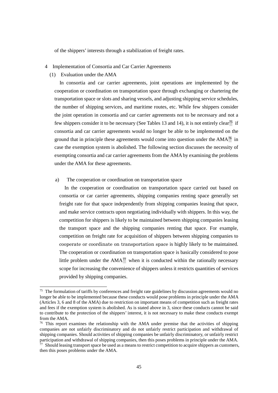of the shippers' interests through a stabilization of freight rates.

- <span id="page-46-0"></span>4 Implementation of Consortia and Car Carrier Agreements
	- (1) Evaluation under the AMA

1

In consortia and car carrier agreements, joint operations are implemented by the cooperation or coordination on transportation space through exchanging or chartering the transportation space or slots and sharing vessels, and adjusting shipping service schedules, the number of shipping services, and maritime routes, etc. While few shippers consider the joint operation in consortia and car carrier agreements not to be necessary and not a few shippers consider it to be necessary (See Tables 13 and 14), it is not entirely clear<sup>[75](#page-46-1)</sup> if consortia and car carrier agreements would no longer be able to be implemented on the ground that in principle these agreements would come into question under the  $AMA<sup>76</sup>$  $AMA<sup>76</sup>$  $AMA<sup>76</sup>$  in case the exemption system is abolished. The following section discusses the necessity of exempting consortia and car carrier agreements from the AMA by examining the problems under the AMA for these agreements.

a) The cooperation or coordination on transportation space

In the cooperation or coordination on transportation space carried out based on consortia or car carrier agreements, shipping companies renting space generally set freight rate for that space independently from shipping companies leasing that space, and make service contracts upon negotiating individually with shippers. In this way, the competition for shippers is likely to be maintained between shipping companies leasing the transport space and the shipping companies renting that space. For example, competition on freight rate for acquisition of shippers between shipping companies to cooperate or coordinate on transportation space is highly likely to be maintained. The cooperation or coordination on transportation space is basically considered to pose little problem under the  $AMA^{77}$  $AMA^{77}$  $AMA^{77}$  when it is conducted within the rationally necessary scope for increasing the convenience of shippers unless it restricts quantities of services provided by shipping companies.

<span id="page-46-1"></span><sup>&</sup>lt;sup>75</sup> The formulation of tariffs by conferences and freight rate guidelines by discussion agreements would no longer be able to be implemented because these conducts would pose problems in principle under the AMA (Articles 3, 6 and 8 of the AMA) due to restriction on important means of competition such as freight rates and fees if the exemption system is abolished. As is stated above in 3, since these conducts cannot be said to contribute to the protection of the shippers' interest, it is not necessary to make these conducts exempt from the AMA.

<span id="page-46-2"></span> $76$  This report examines the relationship with the AMA under premise that the activities of shipping companies are not unfairly discriminatory and do not unfairly restrict participation and withdrawal of shipping companies. Should activities of shipping companies be unfairly discriminatory, or unfairly restrict participation and withdrawal of shipping companies, then this poses problems in principle under the AMA.  $\frac{1}{27}$  Should leasing transport space be used as a means to restrict competition to acquire shippers as customers,

<span id="page-46-3"></span>then this poses problems under the AMA.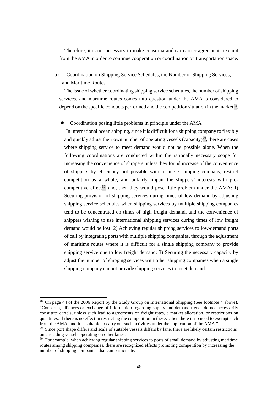Therefore, it is not necessary to make consortia and car carrier agreements exempt from the AMA in order to continue cooperation or coordination on transportation space.

# b) Coordination on Shipping Service Schedules, the Number of Shipping Services, and Maritime Routes

The issue of whether coordinating shipping service schedules, the number of shipping services, and maritime routes comes into question under the AMA is considered to depend on the specific conducts performed and the competition situation in the market<sup>[78](#page-47-0)</sup>.

• Coordination posing little problems in principle under the AMA

In international ocean shipping, since it is difficult for a shipping company to flexibly and quickly adjust their own number of operating vessels (capacity)<sup>[79](#page-47-1)</sup>, there are cases where shipping service to meet demand would not be possible alone. When the following coordinations are conducted within the rationally necessary scope for increasing the convenience of shippers unless they found increase of the convenience of shippers by efficiency not possible with a single shipping company, restrict competition as a whole, and unfairly impair the shippers' interests with pro-competitive effect<sup>[80](#page-47-2)</sup> and, then they would pose little problem under the AMA: 1) Securing provision of shipping services during times of low demand by adjusting shipping service schedules when shipping services by multiple shipping companies tend to be concentrated on times of high freight demand, and the convenience of shippers wishing to use international shipping services during times of low freight demand would be lost; 2) Achieving regular shipping services to low-demand ports of call by integrating ports with multiple shipping companies, through the adjustment of maritime routes where it is difficult for a single shipping company to provide shipping service due to low freight demand; 3) Securing the necessary capacity by adjust the number of shipping services with other shipping companies when a single shipping company cannot provide shipping services to meet demand.

<span id="page-47-0"></span><sup>78</sup> On page 44 of the 2006 Report by the Study Group on International Shipping (See footnote 4 above), "Consortia, alliances or exchange of information regarding supply and demand trends do not necessarily constitute cartels, unless such lead to agreements on freight rates, a market allocation, or restrictions on quantities. If there is no effect in restricting the competition in these…then there is no need to exempt such from the AMA, and it is suitable to carry out such activities under the application of the AMA."

<span id="page-47-1"></span><sup>&</sup>lt;sup>79</sup> Since port shape differs and scale of suitable vessels differs by lane, there are likely certain restrictions on cascading vessels operating on other lanes.

<span id="page-47-2"></span><sup>&</sup>lt;sup>80</sup> For example, when achieving regular shipping services to ports of small demand by adjusting maritime routes among shipping companies, there are recognized effects promoting competition by increasing the number of shipping companies that can participate.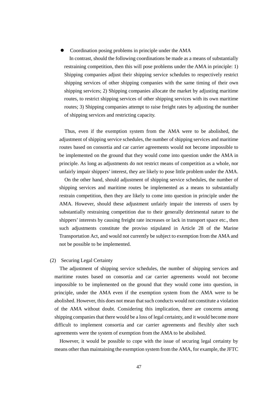#### Coordination posing problems in principle under the AMA

In contrast, should the following coordinations be made as a means of substantially restraining competition, then this will pose problems under the AMA in principle: 1) Shipping companies adjust their shipping service schedules to respectively restrict shipping services of other shipping companies with the same timing of their own shipping services; 2) Shipping companies allocate the market by adjusting maritime routes, to restrict shipping services of other shipping services with its own maritime routes; 3) Shipping companies attempt to raise freight rates by adjusting the number of shipping services and restricting capacity.

Thus, even if the exemption system from the AMA were to be abolished, the adjustment of shipping service schedules, the number of shipping services and maritime routes based on consortia and car carrier agreements would not become impossible to be implemented on the ground that they would come into question under the AMA in principle. As long as adjustments do not restrict means of competition as a whole, nor unfairly impair shippers' interest, they are likely to pose little problem under the AMA.

On the other hand, should adjustment of shipping service schedules, the number of shipping services and maritime routes be implemented as a means to substantially restrain competition, then they are likely to come into question in principle under the AMA. However, should these adjustment unfairly impair the interests of users by substantially restraining competition due to their generally detrimental nature to the shippers' interests by causing freight rate increases or lack in transport space etc., then such adjustments constitute the proviso stipulated in Article 28 of the Marine Transportation Act, and would not currently be subject to exemption from the AMA and not be possible to be implemented.

#### (2) Securing Legal Certainty

The adjustment of shipping service schedules, the number of shipping services and maritime routes based on consortia and car carrier agreements would not become impossible to be implemented on the ground that they would come into question, in principle, under the AMA even if the exemption system from the AMA were to be abolished. However, this does not mean that such conducts would not constitute a violation of the AMA without doubt. Considering this implication, there are concerns among shipping companies that there would be a loss of legal certainty, and it would become more difficult to implement consortia and car carrier agreements and flexibly alter such agreements were the system of exemption from the AMA to be abolished.

However, it would be possible to cope with the issue of securing legal certainty by means other than maintaining the exemption system from the AMA, for example, the JFTC